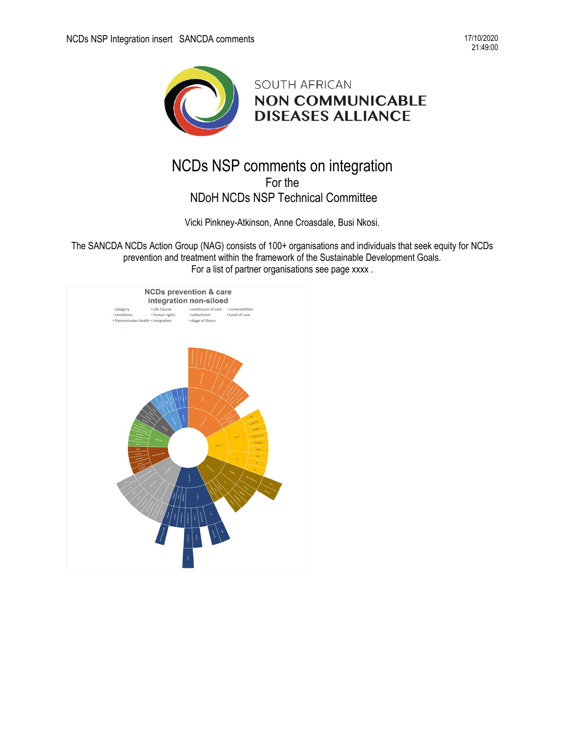

# NCDs NSP comments on integration For the NDoH NCDs NSP Technical Committee

Vicki Pinkney-Atkinson, Anne Croasdale, Busi Nkosi.

The SANCDA NCDs Action Group (NAG) consists of 100+ organisations and individuals that seek equity for NCDs prevention and treatment within the framework of the Sustainable Development Goals. For a list of partner organisations see page xxxx .

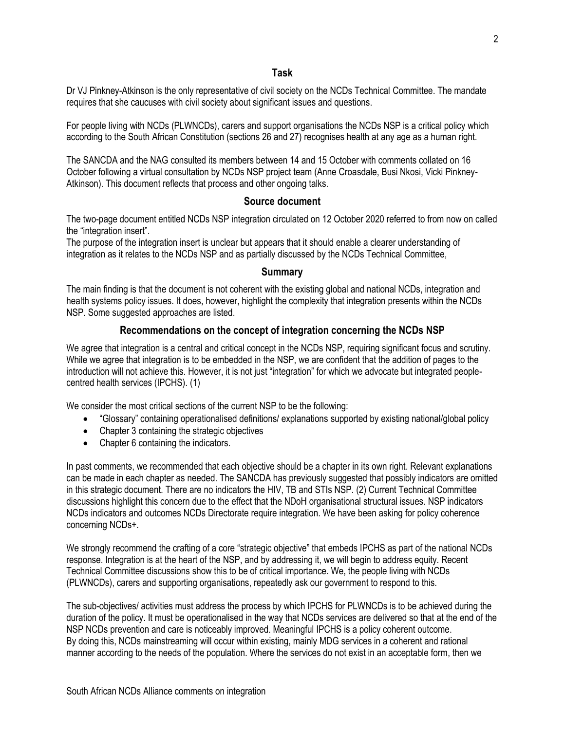#### **Task**

Dr VJ Pinkney-Atkinson is the only representative of civil society on the NCDs Technical Committee. The mandate requires that she caucuses with civil society about significant issues and questions.

For people living with NCDs (PLWNCDs), carers and support organisations the NCDs NSP is a critical policy which according to the South African Constitution (sections 26 and 27) recognises health at any age as a human right.

The SANCDA and the NAG consulted its members between 14 and 15 October with comments collated on 16 October following a virtual consultation by NCDs NSP project team (Anne Croasdale, Busi Nkosi, Vicki Pinkney-Atkinson). This document reflects that process and other ongoing talks.

### **Source document**

The two-page document entitled NCDs NSP integration circulated on 12 October 2020 referred to from now on called the "integration insert".

The purpose of the integration insert is unclear but appears that it should enable a clearer understanding of integration as it relates to the NCDs NSP and as partially discussed by the NCDs Technical Committee,

#### **Summary**

The main finding is that the document is not coherent with the existing global and national NCDs, integration and health systems policy issues. It does, however, highlight the complexity that integration presents within the NCDs NSP. Some suggested approaches are listed.

## **Recommendations on the concept of integration concerning the NCDs NSP**

We agree that integration is a central and critical concept in the NCDs NSP, requiring significant focus and scrutiny. While we agree that integration is to be embedded in the NSP, we are confident that the addition of pages to the introduction will not achieve this. However, it is not just "integration" for which we advocate but integrated peoplecentred health services (IPCHS). (1)

We consider the most critical sections of the current NSP to be the following:

- "Glossary" containing operationalised definitions/ explanations supported by existing national/global policy
- Chapter 3 containing the strategic objectives
- Chapter 6 containing the indicators.

In past comments, we recommended that each objective should be a chapter in its own right. Relevant explanations can be made in each chapter as needed. The SANCDA has previously suggested that possibly indicators are omitted in this strategic document. There are no indicators the HIV, TB and STIs NSP. (2) Current Technical Committee discussions highlight this concern due to the effect that the NDoH organisational structural issues. NSP indicators NCDs indicators and outcomes NCDs Directorate require integration. We have been asking for policy coherence concerning NCDs+.

We strongly recommend the crafting of a core "strategic objective" that embeds IPCHS as part of the national NCDs response. Integration is at the heart of the NSP, and by addressing it, we will begin to address equity. Recent Technical Committee discussions show this to be of critical importance. We, the people living with NCDs (PLWNCDs), carers and supporting organisations, repeatedly ask our government to respond to this.

The sub-objectives/ activities must address the process by which IPCHS for PLWNCDs is to be achieved during the duration of the policy. It must be operationalised in the way that NCDs services are delivered so that at the end of the NSP NCDs prevention and care is noticeably improved. Meaningful IPCHS is a policy coherent outcome. By doing this, NCDs mainstreaming will occur within existing, mainly MDG services in a coherent and rational manner according to the needs of the population. Where the services do not exist in an acceptable form, then we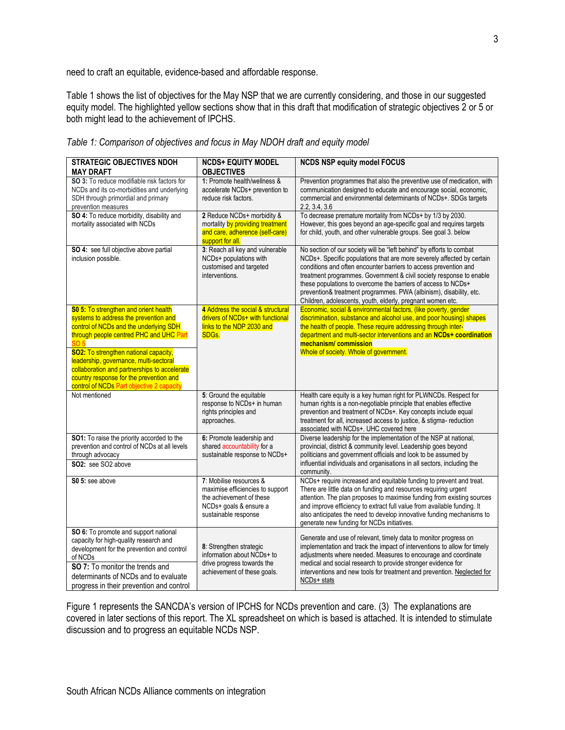need to craft an equitable, evidence-based and affordable response.

Table 1 shows the list of objectives for the May NSP that we are currently considering, and those in our suggested equity model. The highlighted yellow sections show that in this draft that modification of strategic objectives 2 or 5 or both might lead to the achievement of IPCHS.

| <b>STRATEGIC OBJECTIVES NDOH</b><br>MAY DRAFT                                                                                                                                                                                                                                                                                                                                                                               | <b>NCDS+ EQUITY MODEL</b><br><b>OBJECTIVES</b>                                                                                            | <b>NCDS NSP equity model FOCUS</b>                                                                                                                                                                                                                                                                                                                                                                                                                                                             |
|-----------------------------------------------------------------------------------------------------------------------------------------------------------------------------------------------------------------------------------------------------------------------------------------------------------------------------------------------------------------------------------------------------------------------------|-------------------------------------------------------------------------------------------------------------------------------------------|------------------------------------------------------------------------------------------------------------------------------------------------------------------------------------------------------------------------------------------------------------------------------------------------------------------------------------------------------------------------------------------------------------------------------------------------------------------------------------------------|
| SO 3: To reduce modifiable risk factors for<br>NCDs and its co-morbidities and underlying<br>SDH through primordial and primary<br>prevention measures                                                                                                                                                                                                                                                                      | 1: Promote health/wellness &<br>accelerate NCDs+ prevention to<br>reduce risk factors.                                                    | Prevention programmes that also the preventive use of medication, with<br>communication designed to educate and encourage social, economic,<br>commercial and environmental determinants of NCDs+. SDGs targets<br>2.2, 3.4, 3.6                                                                                                                                                                                                                                                               |
| SO 4: To reduce morbidity, disability and<br>mortality associated with NCDs                                                                                                                                                                                                                                                                                                                                                 | 2 Reduce NCDs+ morbidity &<br>mortality by providing treatment<br>and care, adherence (self-care)<br>support for all.                     | To decrease premature mortality from NCDs+ by 1/3 by 2030.<br>However, this goes beyond an age-specific goal and requires targets<br>for child, youth, and other vulnerable groups. See goal 3. below                                                                                                                                                                                                                                                                                          |
| SO 4: see full objective above partial<br>inclusion possible.                                                                                                                                                                                                                                                                                                                                                               | 3: Reach all key and vulnerable<br>NCDs+ populations with<br>customised and targeted<br>interventions.                                    | No section of our society will be "left behind" by efforts to combat<br>NCDs+. Specific populations that are more severely affected by certain<br>conditions and often encounter barriers to access prevention and<br>treatment programmes. Government & civil society response to enable<br>these populations to overcome the barriers of access to NCDs+<br>prevention& treatment programmes. PWA (albinism), disability, etc.<br>Children, adolescents, youth, elderly, pregnant women etc. |
| <b>S0 5: To strengthen and orient health</b><br>systems to address the prevention and<br>control of NCDs and the underlying SDH<br>through people centred PHC and UHC Part<br><b>SO 5</b><br><b>SO2: To strengthen national capacity,</b><br>leadership, governance, multi-sectoral<br>collaboration and partnerships to accelerate<br>country response for the prevention and<br>control of NCDs Part objective 2 capacity | 4 Address the social & structural<br>drivers of NCDs+ with functional<br>links to the NDP 2030 and<br>SDGs.                               | Economic, social & environmental factors, (like poverty, gender<br>discrimination, substance and alcohol use, and poor housing) shapes<br>the health of people. These require addressing through inter-<br>department and multi-sector interventions and an NCDs+ coordination<br>mechanism/commission<br>Whole of society. Whole of government.                                                                                                                                               |
| Not mentioned                                                                                                                                                                                                                                                                                                                                                                                                               | 5: Ground the equitable<br>response to NCDs+ in human<br>rights principles and<br>approaches.                                             | Health care equity is a key human right for PLWNCDs. Respect for<br>human rights is a non-negotiable principle that enables effective<br>prevention and treatment of NCDs+. Key concepts include equal<br>treatment for all, increased access to justice, & stigma- reduction<br>associated with NCDs+. UHC covered here                                                                                                                                                                       |
| SO1: To raise the priority accorded to the<br>prevention and control of NCDs at all levels<br>through advocacy<br>SO2: see SO2 above                                                                                                                                                                                                                                                                                        | 6: Promote leadership and<br>shared accountability for a<br>sustainable response to NCDs+                                                 | Diverse leadership for the implementation of the NSP at national,<br>provincial, district & community level. Leadership goes beyond<br>politicians and government officials and look to be assumed by<br>influential individuals and organisations in all sectors, including the<br>community.                                                                                                                                                                                                 |
| S0 5: see above                                                                                                                                                                                                                                                                                                                                                                                                             | 7: Mobilise resources &<br>maximise efficiencies to support<br>the achievement of these<br>NCDs+ goals & ensure a<br>sustainable response | NCDs+ require increased and equitable funding to prevent and treat.<br>There are little data on funding and resources requiring urgent<br>attention. The plan proposes to maximise funding from existing sources<br>and improve efficiency to extract full value from available funding. It<br>also anticipates the need to develop innovative funding mechanisms to<br>generate new funding for NCDs initiatives.                                                                             |
| SO 6: To promote and support national<br>capacity for high-quality research and<br>development for the prevention and control<br>of NCDs<br>SO 7: To monitor the trends and<br>determinants of NCDs and to evaluate<br>progress in their prevention and control                                                                                                                                                             | 8: Strengthen strategic<br>information about NCDs+ to<br>drive progress towards the<br>achievement of these goals.                        | Generate and use of relevant, timely data to monitor progress on<br>implementation and track the impact of interventions to allow for timely<br>adjustments where needed. Measures to encourage and coordinate<br>medical and social research to provide stronger evidence for<br>interventions and new tools for treatment and prevention. Neglected for<br>NCD <sub>s+</sub> stats                                                                                                           |

*Table 1: Comparison of objectives and focus in May NDOH draft and equity model*

Figure 1 represents the SANCDA's version of IPCHS for NCDs prevention and care. (3) The explanations are covered in later sections of this report. The XL spreadsheet on which is based is attached. It is intended to stimulate discussion and to progress an equitable NCDs NSP.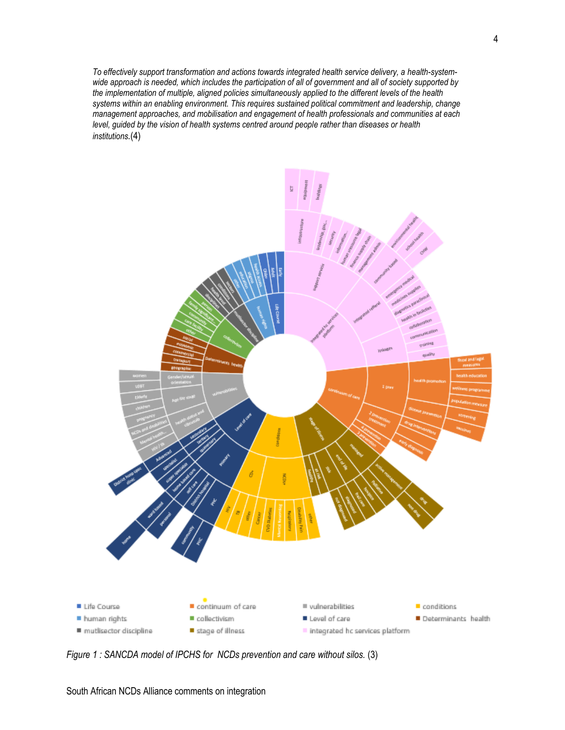*To effectively support transformation and actions towards integrated health service delivery, a health-systemwide approach is needed, which includes the participation of all of government and all of society supported by the implementation of multiple, aligned policies simultaneously applied to the different levels of the health systems within an enabling environment. This requires sustained political commitment and leadership, change management approaches, and mobilisation and engagement of health professionals and communities at each level, guided by the vision of health systems centred around people rather than diseases or health institutions.*(4)



*Figure 1 : SANCDA model of IPCHS for NCDs prevention and care without silos.* (3)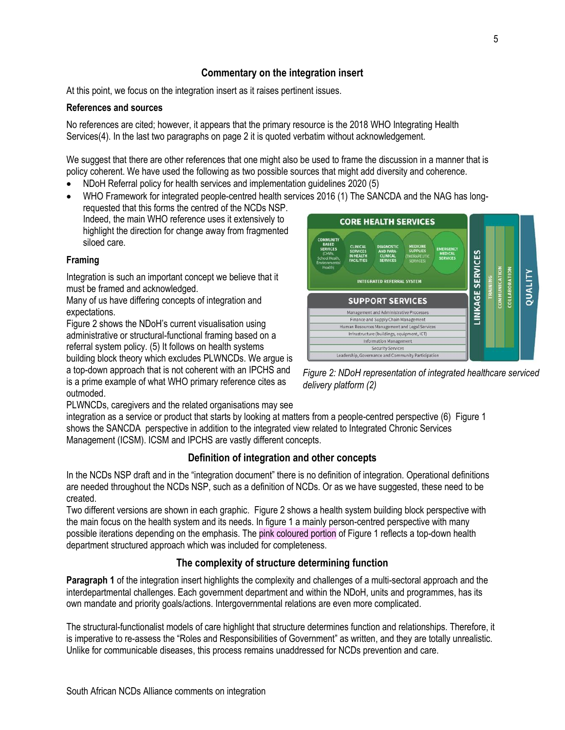## **Commentary on the integration insert**

At this point, we focus on the integration insert as it raises pertinent issues.

#### **References and sources**

No references are cited; however, it appears that the primary resource is the 2018 WHO Integrating Health Services(4). In the last two paragraphs on page 2 it is quoted verbatim without acknowledgement.

We suggest that there are other references that one might also be used to frame the discussion in a manner that is policy coherent. We have used the following as two possible sources that might add diversity and coherence.

- NDoH Referral policy for health services and implementation guidelines 2020 (5)
- WHO Framework for integrated people-centred health services 2016 (1) The SANCDA and the NAG has long-

requested that this forms the centred of the NCDs NSP. Indeed, the main WHO reference uses it extensively to highlight the direction for change away from fragmented siloed care.

#### **Framing**

Integration is such an important concept we believe that it must be framed and acknowledged.

Many of us have differing concepts of integration and expectations.

Figure 2 shows the NDoH's current visualisation using administrative or structural-functional framing based on a referral system policy. (5) It follows on health systems building block theory which excludes PLWNCDs. We argue is a top-down approach that is not coherent with an IPCHS and

is a prime example of what WHO primary reference cites as outmoded.



*Figure 2: NDoH representation of integrated healthcare serviced delivery platform (2)*

PLWNCDs, caregivers and the related organisations may see

integration as a service or product that starts by looking at matters from a people-centred perspective (6) Figure 1 shows the SANCDA perspective in addition to the integrated view related to Integrated Chronic Services Management (ICSM). ICSM and IPCHS are vastly different concepts.

### **Definition of integration and other concepts**

In the NCDs NSP draft and in the "integration document" there is no definition of integration. Operational definitions are needed throughout the NCDs NSP, such as a definition of NCDs. Or as we have suggested, these need to be created.

Two different versions are shown in each graphic. Figure 2 shows a health system building block perspective with the main focus on the health system and its needs. In figure 1 a mainly person-centred perspective with many possible iterations depending on the emphasis. The pink coloured portion of Figure 1 reflects a top-down health department structured approach which was included for completeness.

#### **The complexity of structure determining function**

**Paragraph 1** of the integration insert highlights the complexity and challenges of a multi-sectoral approach and the interdepartmental challenges. Each government department and within the NDoH, units and programmes, has its own mandate and priority goals/actions. Intergovernmental relations are even more complicated.

The structural-functionalist models of care highlight that structure determines function and relationships. Therefore, it is imperative to re-assess the "Roles and Responsibilities of Government" as written, and they are totally unrealistic. Unlike for communicable diseases, this process remains unaddressed for NCDs prevention and care.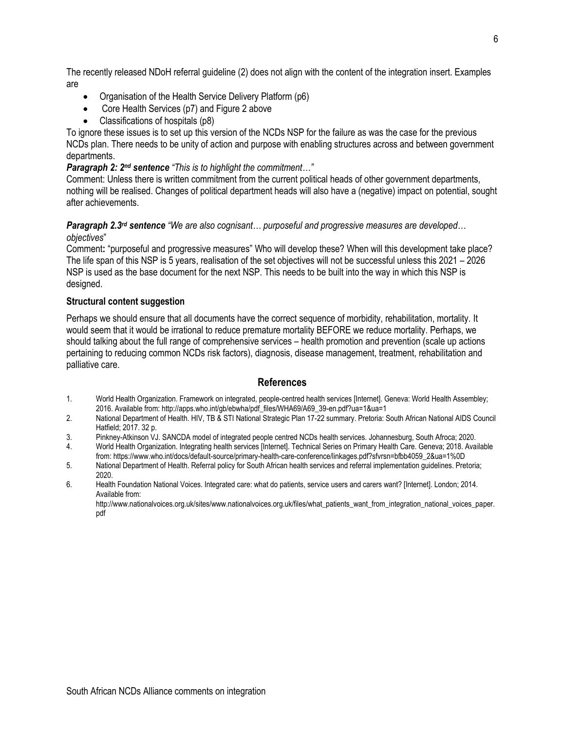The recently released NDoH referral guideline (2) does not align with the content of the integration insert. Examples are

- Organisation of the Health Service Delivery Platform (p6)
- Core Health Services (p7) and Figure 2 above
- Classifications of hospitals (p8)

To ignore these issues is to set up this version of the NCDs NSP for the failure as was the case for the previous NCDs plan. There needs to be unity of action and purpose with enabling structures across and between government departments.

#### **Paragraph 2: 2<sup>nd</sup> sentence** "This is to highlight the commitment..."

Comment: Unless there is written commitment from the current political heads of other government departments, nothing will be realised. Changes of political department heads will also have a (negative) impact on potential, sought after achievements.

#### *Paragraph 2.3rd sentence "We are also cognisant… purposeful and progressive measures are developed… objectives*"

Comment**:** "purposeful and progressive measures" Who will develop these? When will this development take place? The life span of this NSP is 5 years, realisation of the set objectives will not be successful unless this 2021 – 2026 NSP is used as the base document for the next NSP. This needs to be built into the way in which this NSP is designed.

#### **Structural content suggestion**

Perhaps we should ensure that all documents have the correct sequence of morbidity, rehabilitation, mortality. It would seem that it would be irrational to reduce premature mortality BEFORE we reduce mortality. Perhaps, we should talking about the full range of comprehensive services – health promotion and prevention (scale up actions pertaining to reducing common NCDs risk factors), diagnosis, disease management, treatment, rehabilitation and palliative care.

#### **References**

- 1. World Health Organization. Framework on integrated, people-centred health services [Internet]. Geneva: World Health Assembley; 2016. Available from: http://apps.who.int/gb/ebwha/pdf\_files/WHA69/A69\_39-en.pdf?ua=1&ua=1
- 2. National Department of Health. HIV, TB & STI National Strategic Plan 17-22 summary. Pretoria: South African National AIDS Council Hatfield; 2017. 32 p.
- 3. Pinkney-Atkinson VJ. SANCDA model of integrated people centred NCDs health services. Johannesburg, South Afroca; 2020.
- 4. World Health Organization. Integrating health services [Internet]. Technical Series on Primary Health Care. Geneva; 2018. Available from: https://www.who.int/docs/default-source/primary-health-care-conference/linkages.pdf?sfvrsn=bfbb4059\_2&ua=1%0D
- 5. National Department of Health. Referral policy for South African health services and referral implementation guidelines. Pretoria; 2020.
- 6. Health Foundation National Voices. Integrated care: what do patients, service users and carers want? [Internet]. London; 2014. Available from:

http://www.nationalvoices.org.uk/sites/www.nationalvoices.org.uk/files/what\_patients\_want\_from\_integration\_national\_voices\_paper. pdf